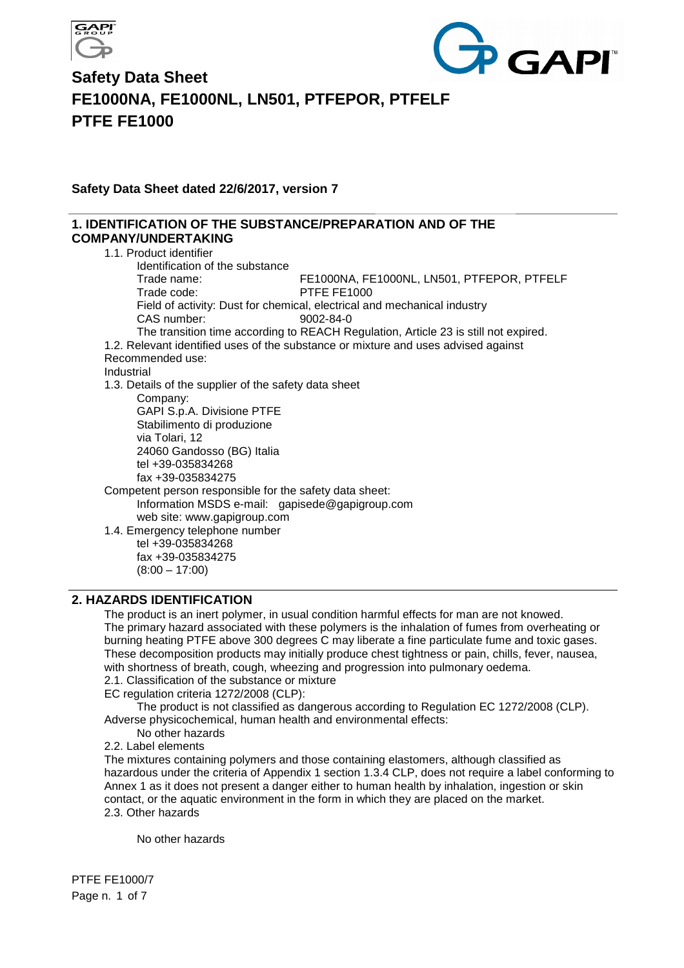



**Safety Data Sheet dated 22/6/2017, version 7** 

### **1. IDENTIFICATION OF THE SUBSTANCE/PREPARATION AND OF THE COMPANY/UNDERTAKING**

1.1. Product identifier Identification of the substance Trade name: FE1000NA, FE1000NL, LN501, PTFEPOR, PTFELF Trade code: PTFE FE1000 Field of activity: Dust for chemical, electrical and mechanical industry CAS number: 9002-84-0 The transition time according to REACH Regulation, Article 23 is still not expired. 1.2. Relevant identified uses of the substance or mixture and uses advised against Recommended use: Industrial 1.3. Details of the supplier of the safety data sheet Company: GAPI S.p.A. Divisione PTFE Stabilimento di produzione via Tolari, 12 24060 Gandosso (BG) Italia tel +39-035834268 fax +39-035834275 Competent person responsible for the safety data sheet: Information MSDS e-mail: gapisede@gapigroup.com web site: www.gapigroup.com 1.4. Emergency telephone number tel +39-035834268 fax +39-035834275  $(8:00 - 17:00)$ 

### **2. HAZARDS IDENTIFICATION**

The product is an inert polymer, in usual condition harmful effects for man are not knowed. The primary hazard associated with these polymers is the inhalation of fumes from overheating or burning heating PTFE above 300 degrees C may liberate a fine particulate fume and toxic gases. These decomposition products may initially produce chest tightness or pain, chills, fever, nausea, with shortness of breath, cough, wheezing and progression into pulmonary oedema. 2.1. Classification of the substance or mixture

EC regulation criteria 1272/2008 (CLP):

The product is not classified as dangerous according to Regulation EC 1272/2008 (CLP). Adverse physicochemical, human health and environmental effects:

No other hazards

2.2. Label elements

The mixtures containing polymers and those containing elastomers, although classified as hazardous under the criteria of Appendix 1 section 1.3.4 CLP, does not require a label conforming to Annex 1 as it does not present a danger either to human health by inhalation, ingestion or skin contact, or the aquatic environment in the form in which they are placed on the market. 2.3. Other hazards

No other hazards

PTFE FE1000/7 Page n. 1 of 7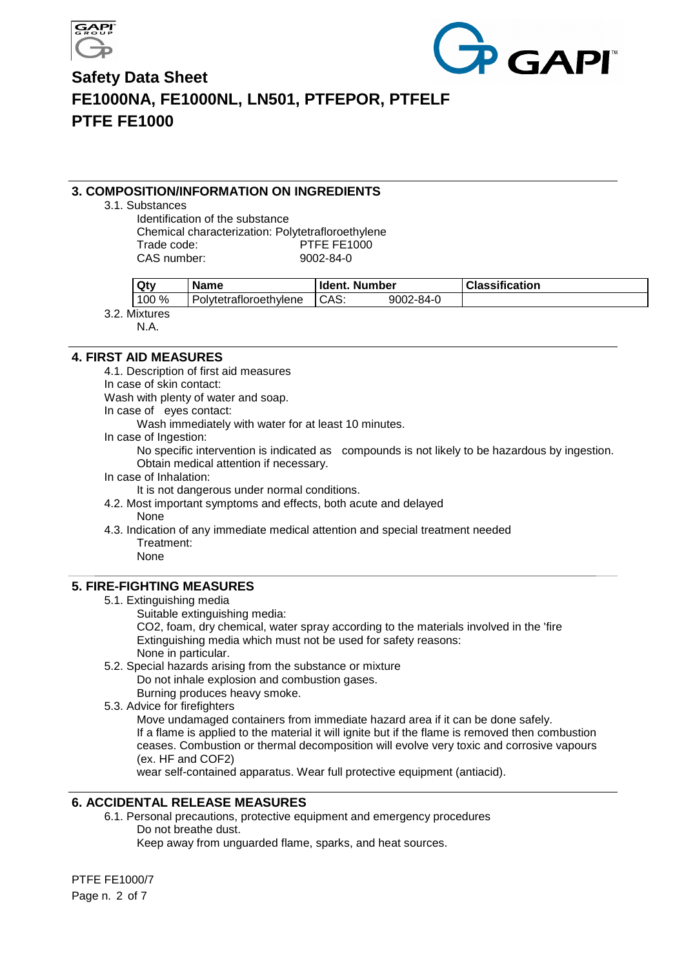



#### **3. COMPOSITION/INFORMATION ON INGREDIENTS**

3.1. Substances

Identification of the substance Chemical characterization: Polytetrafloroethylene Trade code: PTFE FE1000 CAS number: 9002-84-0

| Qty   | Name                   | ldent. | Number    | <b>Classification</b> |  |
|-------|------------------------|--------|-----------|-----------------------|--|
| 100 % | Polytetrafloroethylene | CAS.   | 9002-84-0 |                       |  |

3.2. Mixtures

N.A.

**4. FIRST AID MEASURES** 

4.1. Description of first aid measures

In case of skin contact:

Wash with plenty of water and soap.

In case of eyes contact:

Wash immediately with water for at least 10 minutes.

In case of Ingestion:

No specific intervention is indicated as compounds is not likely to be hazardous by ingestion. Obtain medical attention if necessary.

In case of Inhalation:

It is not dangerous under normal conditions.

- 4.2. Most important symptoms and effects, both acute and delayed None
- 4.3. Indication of any immediate medical attention and special treatment needed Treatment:

None

## **5. FIRE-FIGHTING MEASURES**

- 5.1. Extinguishing media
	- Suitable extinguishing media:

CO2, foam, dry chemical, water spray according to the materials involved in the 'fire Extinguishing media which must not be used for safety reasons: None in particular.

5.2. Special hazards arising from the substance or mixture

Do not inhale explosion and combustion gases.

Burning produces heavy smoke.

5.3. Advice for firefighters

Move undamaged containers from immediate hazard area if it can be done safely. If a flame is applied to the material it will ignite but if the flame is removed then combustion ceases. Combustion or thermal decomposition will evolve very toxic and corrosive vapours (ex. HF and COF2)

wear self-contained apparatus. Wear full protective equipment (antiacid).

### **6. ACCIDENTAL RELEASE MEASURES**

6.1. Personal precautions, protective equipment and emergency procedures Do not breathe dust.

Keep away from unguarded flame, sparks, and heat sources.

PTFE FE1000/7 Page n. 2 of 7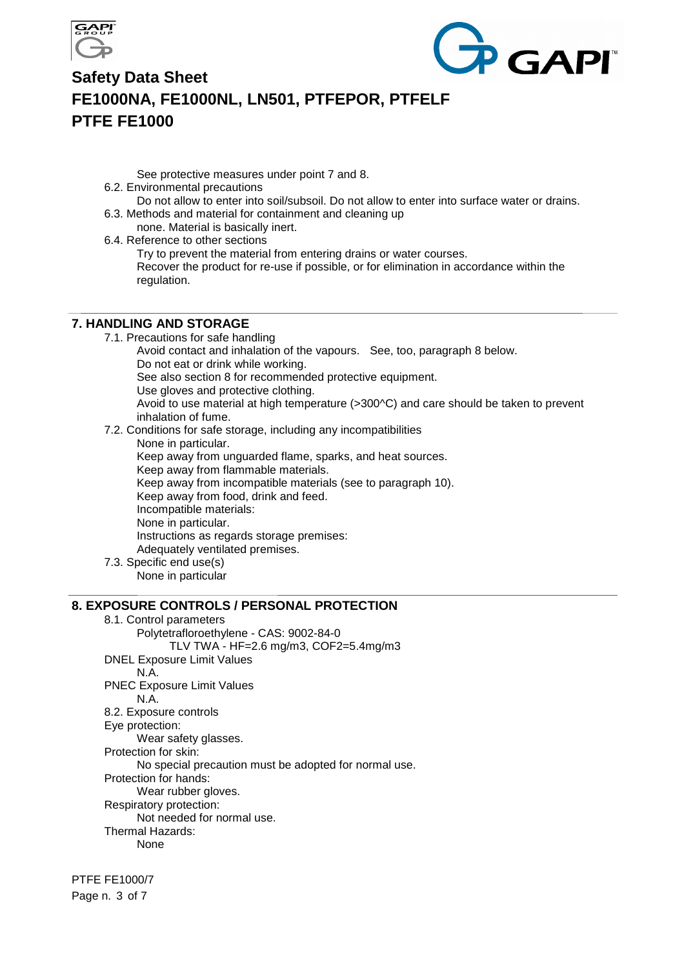



See protective measures under point 7 and 8.

- 6.2. Environmental precautions
- Do not allow to enter into soil/subsoil. Do not allow to enter into surface water or drains. 6.3. Methods and material for containment and cleaning up
	- none. Material is basically inert.
- 6.4. Reference to other sections

Try to prevent the material from entering drains or water courses.

Recover the product for re-use if possible, or for elimination in accordance within the regulation.

#### **7. HANDLING AND STORAGE**

7.1. Precautions for safe handling Avoid contact and inhalation of the vapours. See, too, paragraph 8 below. Do not eat or drink while working. See also section 8 for recommended protective equipment. Use gloves and protective clothing. Avoid to use material at high temperature (>300^C) and care should be taken to prevent inhalation of fume. 7.2. Conditions for safe storage, including any incompatibilities

None in particular. Keep away from unguarded flame, sparks, and heat sources. Keep away from flammable materials. Keep away from incompatible materials (see to paragraph 10). Keep away from food, drink and feed. Incompatible materials: None in particular. Instructions as regards storage premises: Adequately ventilated premises.

7.3. Specific end use(s)

None in particular

## **8. EXPOSURE CONTROLS / PERSONAL PROTECTION**

8.1. Control parameters Polytetrafloroethylene - CAS: 9002-84-0 TLV TWA - HF=2.6 mg/m3, COF2=5.4mg/m3 DNEL Exposure Limit Values N.A. PNEC Exposure Limit Values N.A. 8.2. Exposure controls Eye protection: Wear safety glasses. Protection for skin: No special precaution must be adopted for normal use. Protection for hands: Wear rubber gloves. Respiratory protection: Not needed for normal use. Thermal Hazards: None

PTFE FE1000/7 Page n. 3 of 7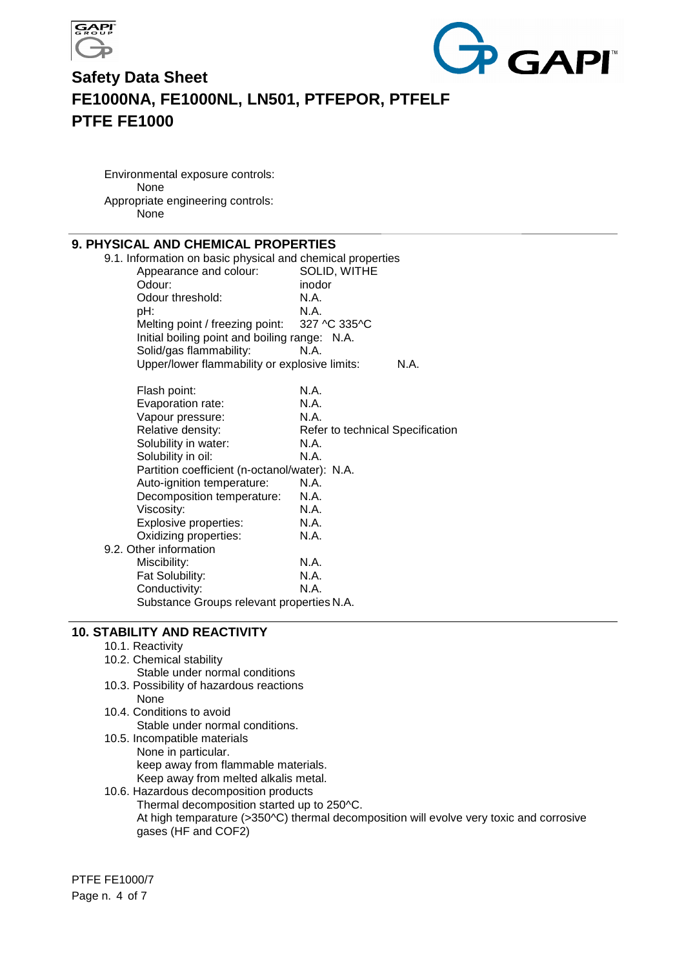



Environmental exposure controls: None Appropriate engineering controls: None

## **9. PHYSICAL AND CHEMICAL PROPERTIES**

| L ARP VIIEMPAL I IV                                        |                                  |
|------------------------------------------------------------|----------------------------------|
| 9.1. Information on basic physical and chemical properties |                                  |
| Appearance and colour:                                     | SOLID, WITHE                     |
| Odour:                                                     | inodor                           |
| Odour threshold:                                           | N.A.                             |
| pH:                                                        | N.A.                             |
| Melting point / freezing point:                            | 327 ^C 335^C                     |
| Initial boiling point and boiling range: N.A.              |                                  |
| Solid/gas flammability:                                    | N.A.                             |
| Upper/lower flammability or explosive limits:              | N.A.                             |
| Flash point:                                               | N.A.                             |
| Evaporation rate:                                          | N.A.                             |
| Vapour pressure:                                           | N.A.                             |
| Relative density:                                          | Refer to technical Specification |
| Solubility in water:                                       | N.A.                             |
| Solubility in oil:                                         | N.A.                             |
| Partition coefficient (n-octanol/water): N.A.              |                                  |
| Auto-ignition temperature:                                 | N.A.                             |
| Decomposition temperature:                                 | N.A.                             |
| Viscosity:                                                 | N.A.                             |
| Explosive properties:                                      | N.A.                             |
| Oxidizing properties:                                      | N.A.                             |
| 9.2. Other information                                     |                                  |
| Miscibility:                                               | N.A.                             |
| Fat Solubility:                                            | N.A.                             |
| Conductivity:                                              | N.A.                             |
| Substance Groups relevant properties N.A.                  |                                  |

#### **10. STABILITY AND REACTIVITY**

- 10.1. Reactivity
- 10.2. Chemical stability
	- Stable under normal conditions
- 10.3. Possibility of hazardous reactions None
- 10.4. Conditions to avoid Stable under normal conditions.
- 10.5. Incompatible materials None in particular. keep away from flammable materials. Keep away from melted alkalis metal.
- 10.6. Hazardous decomposition products Thermal decomposition started up to 250^C. At high temparature (>350^C) thermal decomposition will evolve very toxic and corrosive gases (HF and COF2)

PTFE FE1000/7 Page n. 4 of 7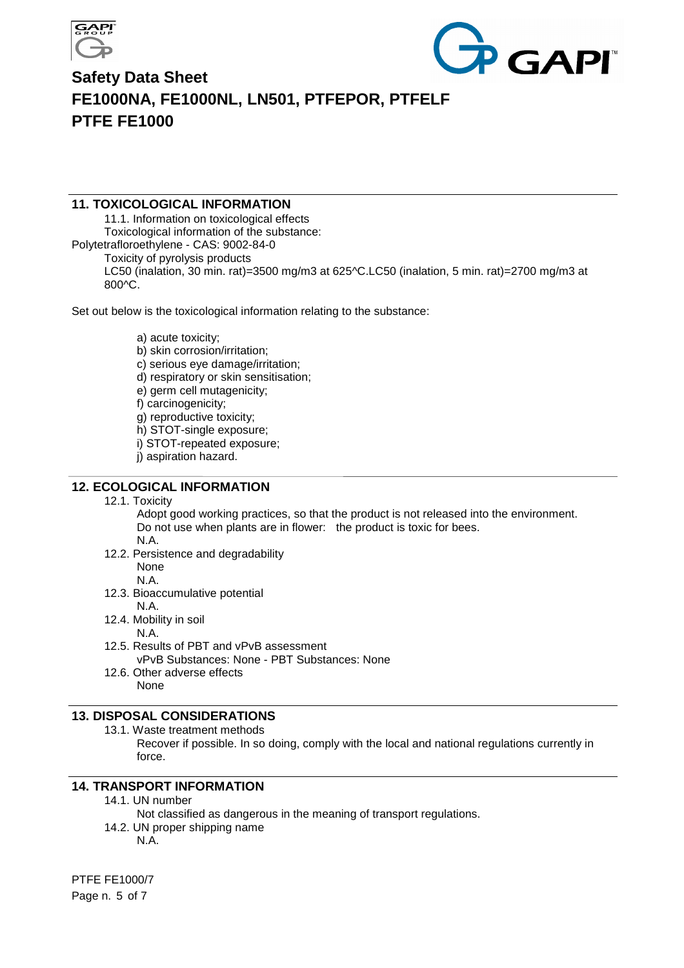



#### **11. TOXICOLOGICAL INFORMATION**

11.1. Information on toxicological effects Toxicological information of the substance: Polytetrafloroethylene - CAS: 9002-84-0 Toxicity of pyrolysis products LC50 (inalation, 30 min. rat)=3500 mg/m3 at 625^C.LC50 (inalation, 5 min. rat)=2700 mg/m3 at 800^C.

Set out below is the toxicological information relating to the substance:

a) acute toxicity;

- b) skin corrosion/irritation;
- c) serious eye damage/irritation;
- d) respiratory or skin sensitisation;
- e) germ cell mutagenicity;
- f) carcinogenicity;
- g) reproductive toxicity;
- h) STOT-single exposure;
- i) STOT-repeated exposure;
- j) aspiration hazard.

#### **12. ECOLOGICAL INFORMATION**

12.1. Toxicity

Adopt good working practices, so that the product is not released into the environment. Do not use when plants are in flower: the product is toxic for bees. N.A.

- 12.2. Persistence and degradability None N.A.
- 12.3. Bioaccumulative potential N.A.
- 12.4. Mobility in soil
	- N.A.
- 12.5. Results of PBT and vPvB assessment vPvB Substances: None - PBT Substances: None
- 12.6. Other adverse effects None

#### **13. DISPOSAL CONSIDERATIONS**

13.1. Waste treatment methods

Recover if possible. In so doing, comply with the local and national regulations currently in force.

#### **14. TRANSPORT INFORMATION**

- 14.1. UN number
	- Not classified as dangerous in the meaning of transport regulations.
- 14.2. UN proper shipping name

N.A.

PTFE FE1000/7 Page n. 5 of 7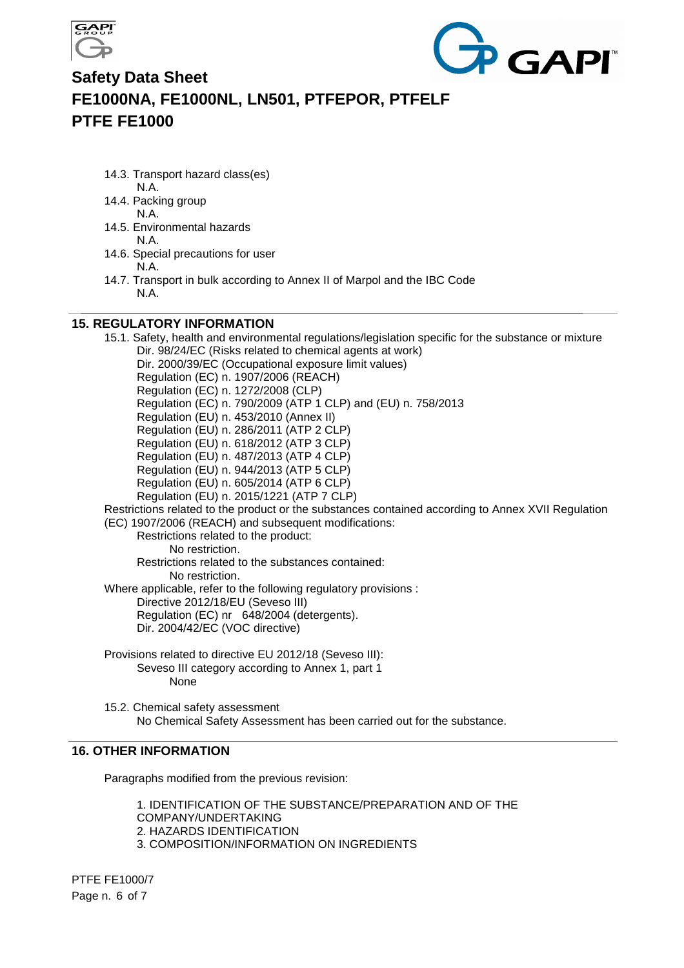



14.3. Transport hazard class(es)

N.A.

- 14.4. Packing group N.A.
- 14.5. Environmental hazards N.A.
- 14.6. Special precautions for user N.A.
- 14.7. Transport in bulk according to Annex II of Marpol and the IBC Code N.A.

### **15. REGULATORY INFORMATION**

15.1. Safety, health and environmental regulations/legislation specific for the substance or mixture Dir. 98/24/EC (Risks related to chemical agents at work) Dir. 2000/39/EC (Occupational exposure limit values) Regulation (EC) n. 1907/2006 (REACH) Regulation (EC) n. 1272/2008 (CLP) Regulation (EC) n. 790/2009 (ATP 1 CLP) and (EU) n. 758/2013 Regulation (EU) n. 453/2010 (Annex II) Regulation (EU) n. 286/2011 (ATP 2 CLP) Regulation (EU) n. 618/2012 (ATP 3 CLP) Regulation (EU) n. 487/2013 (ATP 4 CLP) Regulation (EU) n. 944/2013 (ATP 5 CLP) Regulation (EU) n. 605/2014 (ATP 6 CLP) Regulation (EU) n. 2015/1221 (ATP 7 CLP) Restrictions related to the product or the substances contained according to Annex XVII Regulation (EC) 1907/2006 (REACH) and subsequent modifications: Restrictions related to the product: No restriction. Restrictions related to the substances contained: No restriction. Where applicable, refer to the following regulatory provisions : Directive 2012/18/EU (Seveso III) Regulation (EC) nr 648/2004 (detergents). Dir. 2004/42/EC (VOC directive) Provisions related to directive EU 2012/18 (Seveso III): Seveso III category according to Annex 1, part 1 None 15.2. Chemical safety assessment

No Chemical Safety Assessment has been carried out for the substance.

### **16. OTHER INFORMATION**

Paragraphs modified from the previous revision:

1. IDENTIFICATION OF THE SUBSTANCE/PREPARATION AND OF THE COMPANY/UNDERTAKING 2. HAZARDS IDENTIFICATION 3. COMPOSITION/INFORMATION ON INGREDIENTS

PTFE FE1000/7 Page n. 6 of 7